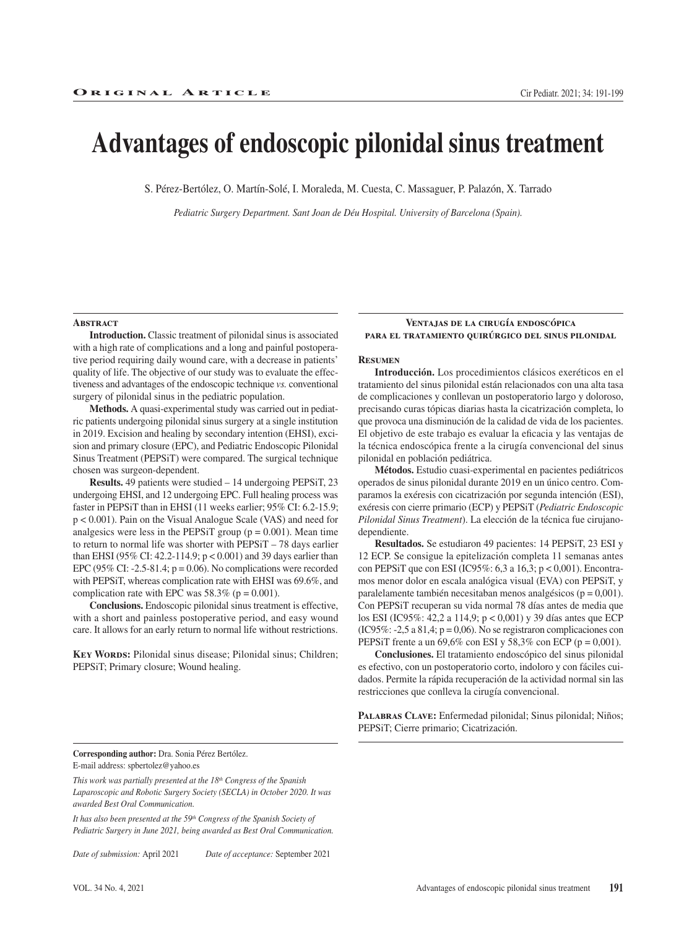# **Advantages of endoscopic pilonidal sinus treatment**

S. Pérez-Bertólez, O. Martín-Solé, I. Moraleda, M. Cuesta, C. Massaguer, P. Palazón, X. Tarrado

*Pediatric Surgery Department. Sant Joan de Déu Hospital. University of Barcelona (Spain).*

#### **ABSTRACT**

**Introduction.** Classic treatment of pilonidal sinus is associated with a high rate of complications and a long and painful postoperative period requiring daily wound care, with a decrease in patients' quality of life. The objective of our study was to evaluate the effectiveness and advantages of the endoscopic technique *vs.* conventional surgery of pilonidal sinus in the pediatric population.

**Methods.** A quasi-experimental study was carried out in pediatric patients undergoing pilonidal sinus surgery at a single institution in 2019. Excision and healing by secondary intention (EHSI), excision and primary closure (EPC), and Pediatric Endoscopic Pilonidal Sinus Treatment (PEPSiT) were compared. The surgical technique chosen was surgeon-dependent.

**Results.** 49 patients were studied – 14 undergoing PEPSiT, 23 undergoing EHSI, and 12 undergoing EPC. Full healing process was faster in PEPSiT than in EHSI (11 weeks earlier; 95% CI: 6.2-15.9; p < 0.001). Pain on the Visual Analogue Scale (VAS) and need for analgesics were less in the PEPSiT group ( $p = 0.001$ ). Mean time to return to normal life was shorter with PEPSiT – 78 days earlier than EHSI (95% CI: 42.2-114.9; p < 0.001) and 39 days earlier than EPC (95% CI: -2.5-81.4;  $p = 0.06$ ). No complications were recorded with PEPSiT, whereas complication rate with EHSI was 69.6%, and complication rate with EPC was  $58.3\%$  (p = 0.001).

**Conclusions.** Endoscopic pilonidal sinus treatment is effective, with a short and painless postoperative period, and easy wound care. It allows for an early return to normal life without restrictions.

KEY WORDS: Pilonidal sinus disease; Pilonidal sinus; Children; PEPSiT; Primary closure; Wound healing.

#### **Ventajas de la cirugía endoscópica para el tratamiento quirúrgico del sinus pilonidal**

#### **Resumen**

**Introducción.** Los procedimientos clásicos exeréticos en el tratamiento del sinus pilonidal están relacionados con una alta tasa de complicaciones y conllevan un postoperatorio largo y doloroso, precisando curas tópicas diarias hasta la cicatrización completa, lo que provoca una disminución de la calidad de vida de los pacientes. El objetivo de este trabajo es evaluar la eficacia y las ventajas de la técnica endoscópica frente a la cirugía convencional del sinus pilonidal en población pediátrica.

**Métodos.** Estudio cuasi-experimental en pacientes pediátricos operados de sinus pilonidal durante 2019 en un único centro. Comparamos la exéresis con cicatrización por segunda intención (ESI), exéresis con cierre primario (ECP) y PEPSiT (*Pediatric Endoscopic Pilonidal Sinus Treatment*). La elección de la técnica fue cirujanodependiente.

**Resultados.** Se estudiaron 49 pacientes: 14 PEPSiT, 23 ESI y 12 ECP. Se consigue la epitelización completa 11 semanas antes con PEPSiT que con ESI (IC95%: 6,3 a 16,3; p < 0,001). Encontramos menor dolor en escala analógica visual (EVA) con PEPSiT, y paralelamente también necesitaban menos analgésicos (p = 0,001). Con PEPSiT recuperan su vida normal 78 días antes de media que los ESI (IC95%: 42,2 a 114,9; p < 0,001) y 39 días antes que ECP (IC95%: -2,5 a 81,4;  $p = 0.06$ ). No se registraron complicaciones con PEPSIT frente a un 69,6% con ESI y 58,3% con ECP ( $p = 0,001$ ).

**Conclusiones.** El tratamiento endoscópico del sinus pilonidal es efectivo, con un postoperatorio corto, indoloro y con fáciles cuidados. Permite la rápida recuperación de la actividad normal sin las restricciones que conlleva la cirugía convencional.

**Palabras Clave:** Enfermedad pilonidal; Sinus pilonidal; Niños; PEPSiT; Cierre primario; Cicatrización.

**Corresponding author:** Dra. Sonia Pérez Bertólez. E-mail address: spbertolez@yahoo.es

*This work was partially presented at the 18th Congress of the Spanish Laparoscopic and Robotic Surgery Society (SECLA) in October 2020. It was awarded Best Oral Communication.*

It has also been presented at the 59<sup>th</sup> Congress of the Spanish Society of *Pediatric Surgery in June 2021, being awarded as Best Oral Communication.*

*Date of submission:* April 2021 *Date of acceptance:* September 2021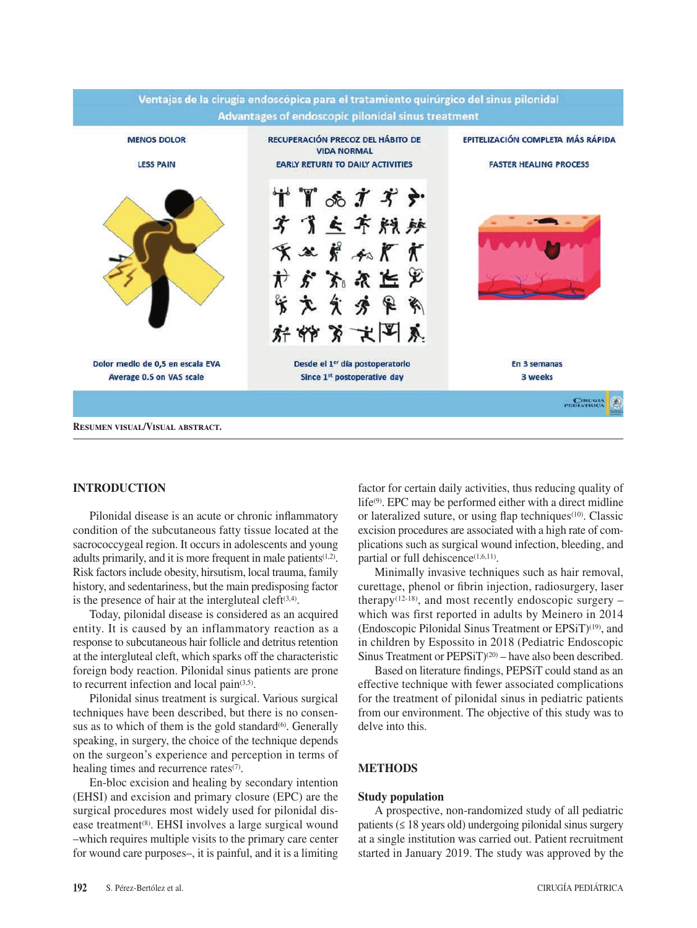

## **INTRODUCTION**

Pilonidal disease is an acute or chronic inflammatory condition of the subcutaneous fatty tissue located at the sacrococcygeal region. It occurs in adolescents and young adults primarily, and it is more frequent in male patients(1,2). Risk factors include obesity, hirsutism, local trauma, family history, and sedentariness, but the main predisposing factor is the presence of hair at the intergluteal cleft $(3,4)$ .

Today, pilonidal disease is considered as an acquired entity. It is caused by an inflammatory reaction as a response to subcutaneous hair follicle and detritus retention at the intergluteal cleft, which sparks off the characteristic foreign body reaction. Pilonidal sinus patients are prone to recurrent infection and local pain<sup>(3,5)</sup>.

Pilonidal sinus treatment is surgical. Various surgical techniques have been described, but there is no consensus as to which of them is the gold standard $(6)$ . Generally speaking, in surgery, the choice of the technique depends on the surgeon's experience and perception in terms of healing times and recurrence rates<sup>(7)</sup>.

En-bloc excision and healing by secondary intention (EHSI) and excision and primary closure (EPC) are the surgical procedures most widely used for pilonidal disease treatment(8). EHSI involves a large surgical wound –which requires multiple visits to the primary care center for wound care purposes–, it is painful, and it is a limiting factor for certain daily activities, thus reducing quality of life(9). EPC may be performed either with a direct midline or lateralized suture, or using flap techniques<sup> $(10)$ </sup>. Classic excision procedures are associated with a high rate of complications such as surgical wound infection, bleeding, and partial or full dehiscence<sup>(1,6,11)</sup>.

Minimally invasive techniques such as hair removal, curettage, phenol or fibrin injection, radiosurgery, laser therapy<sup>(12-18)</sup>, and most recently endoscopic surgery – which was first reported in adults by Meinero in 2014 (Endoscopic Pilonidal Sinus Treatment or EPSiT)(19), and in children by Espossito in 2018 (Pediatric Endoscopic Sinus Treatment or PEPSiT)<sup>(20)</sup> – have also been described.

Based on literature findings, PEPSiT could stand as an effective technique with fewer associated complications for the treatment of pilonidal sinus in pediatric patients from our environment. The objective of this study was to delve into this.

# **METHODS**

#### **Study population**

A prospective, non-randomized study of all pediatric patients  $(\leq 18$  years old) undergoing pilonidal sinus surgery at a single institution was carried out. Patient recruitment started in January 2019. The study was approved by the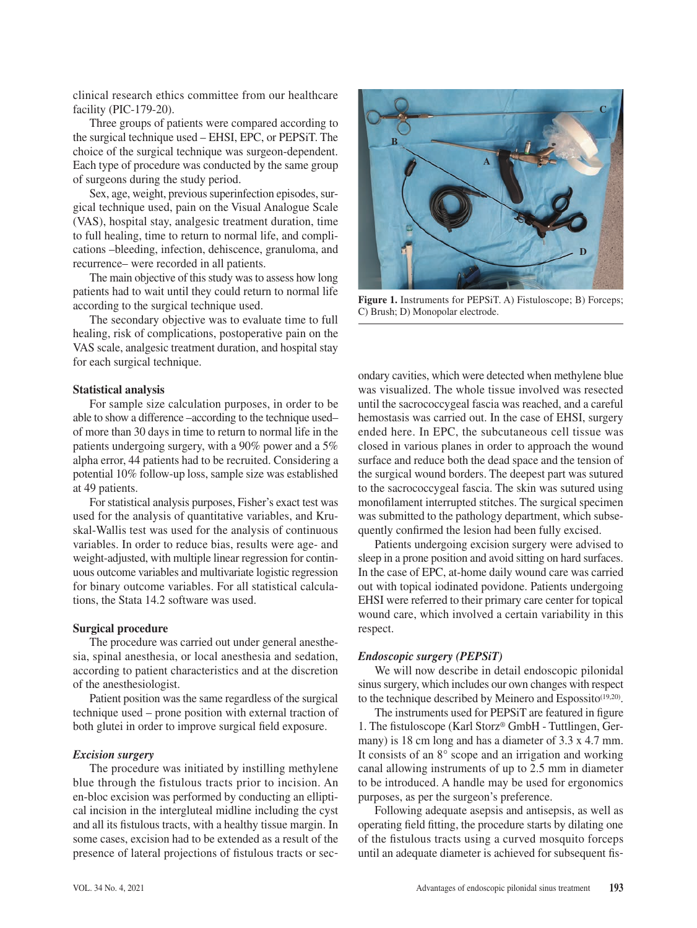clinical research ethics committee from our healthcare facility (PIC-179-20).

Three groups of patients were compared according to the surgical technique used – EHSI, EPC, or PEPSiT. The choice of the surgical technique was surgeon-dependent. Each type of procedure was conducted by the same group of surgeons during the study period.

Sex, age, weight, previous superinfection episodes, surgical technique used, pain on the Visual Analogue Scale (VAS), hospital stay, analgesic treatment duration, time to full healing, time to return to normal life, and complications –bleeding, infection, dehiscence, granuloma, and recurrence– were recorded in all patients.

The main objective of this study was to assess how long patients had to wait until they could return to normal life according to the surgical technique used.

The secondary objective was to evaluate time to full healing, risk of complications, postoperative pain on the VAS scale, analgesic treatment duration, and hospital stay for each surgical technique.

#### **Statistical analysis**

For sample size calculation purposes, in order to be able to show a difference –according to the technique used– of more than 30 days in time to return to normal life in the patients undergoing surgery, with a 90% power and a 5% alpha error, 44 patients had to be recruited. Considering a potential 10% follow-up loss, sample size was established at 49 patients.

For statistical analysis purposes, Fisher's exact test was used for the analysis of quantitative variables, and Kruskal-Wallis test was used for the analysis of continuous variables. In order to reduce bias, results were age- and weight-adjusted, with multiple linear regression for continuous outcome variables and multivariate logistic regression for binary outcome variables. For all statistical calculations, the Stata 14.2 software was used.

#### **Surgical procedure**

The procedure was carried out under general anesthesia, spinal anesthesia, or local anesthesia and sedation, according to patient characteristics and at the discretion of the anesthesiologist.

Patient position was the same regardless of the surgical technique used – prone position with external traction of both glutei in order to improve surgical field exposure.

#### *Excision surgery*

The procedure was initiated by instilling methylene blue through the fistulous tracts prior to incision. An en-bloc excision was performed by conducting an elliptical incision in the intergluteal midline including the cyst and all its fistulous tracts, with a healthy tissue margin. In some cases, excision had to be extended as a result of the presence of lateral projections of fistulous tracts or sec-



Figure 1. Instruments for PEPSiT. A) Fistuloscope; B) Forceps; C) Brush; D) Monopolar electrode.

ondary cavities, which were detected when methylene blue was visualized. The whole tissue involved was resected until the sacrococcygeal fascia was reached, and a careful hemostasis was carried out. In the case of EHSI, surgery ended here. In EPC, the subcutaneous cell tissue was closed in various planes in order to approach the wound surface and reduce both the dead space and the tension of the surgical wound borders. The deepest part was sutured to the sacrococcygeal fascia. The skin was sutured using monofilament interrupted stitches. The surgical specimen was submitted to the pathology department, which subsequently confirmed the lesion had been fully excised.

Patients undergoing excision surgery were advised to sleep in a prone position and avoid sitting on hard surfaces. In the case of EPC, at-home daily wound care was carried out with topical iodinated povidone. Patients undergoing EHSI were referred to their primary care center for topical wound care, which involved a certain variability in this respect.

## *Endoscopic surgery (PEPSiT)*

We will now describe in detail endoscopic pilonidal sinus surgery, which includes our own changes with respect to the technique described by Meinero and Espossito<sup>(19,20)</sup>.

The instruments used for PEPSiT are featured in figure 1. The fistuloscope (Karl Storz® GmbH - Tuttlingen, Germany) is 18 cm long and has a diameter of 3.3 x 4.7 mm. It consists of an 8° scope and an irrigation and working canal allowing instruments of up to 2.5 mm in diameter to be introduced. A handle may be used for ergonomics purposes, as per the surgeon's preference.

Following adequate asepsis and antisepsis, as well as operating field fitting, the procedure starts by dilating one of the fistulous tracts using a curved mosquito forceps until an adequate diameter is achieved for subsequent fis-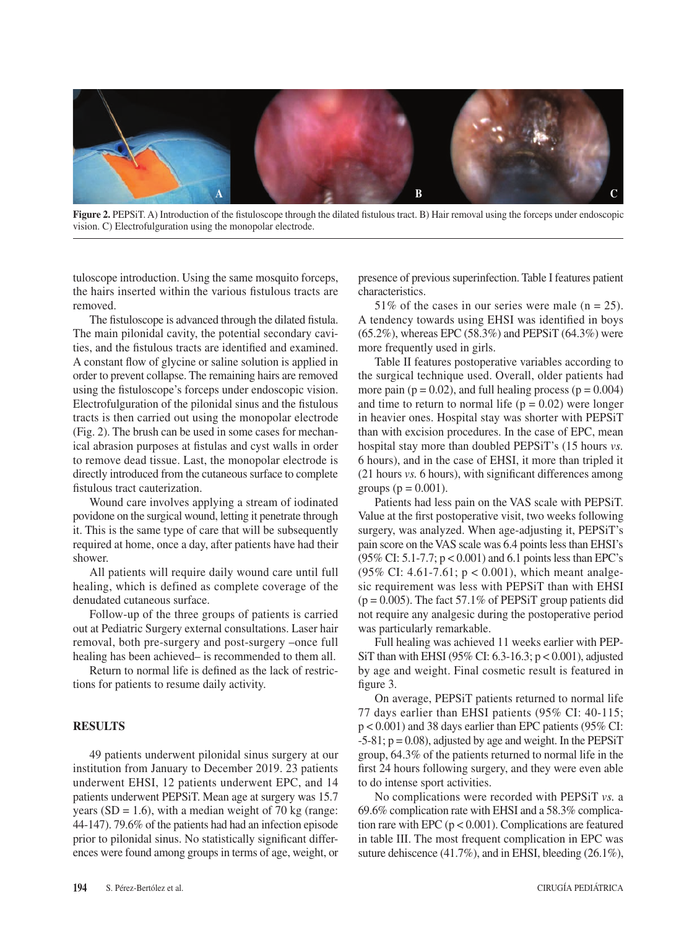

**Figure 2.** PEPSiT. A) Introduction of the fistuloscope through the dilated fistulous tract. B) Hair removal using the forceps under endoscopic vision. C) Electrofulguration using the monopolar electrode.

tuloscope introduction. Using the same mosquito forceps, the hairs inserted within the various fistulous tracts are removed.

The fistuloscope is advanced through the dilated fistula. The main pilonidal cavity, the potential secondary cavities, and the fistulous tracts are identified and examined. A constant flow of glycine or saline solution is applied in order to prevent collapse. The remaining hairs are removed using the fistuloscope's forceps under endoscopic vision. Electrofulguration of the pilonidal sinus and the fistulous tracts is then carried out using the monopolar electrode (Fig. 2). The brush can be used in some cases for mechanical abrasion purposes at fistulas and cyst walls in order to remove dead tissue. Last, the monopolar electrode is directly introduced from the cutaneous surface to complete fistulous tract cauterization.

Wound care involves applying a stream of iodinated povidone on the surgical wound, letting it penetrate through it. This is the same type of care that will be subsequently required at home, once a day, after patients have had their shower.

All patients will require daily wound care until full healing, which is defined as complete coverage of the denudated cutaneous surface.

Follow-up of the three groups of patients is carried out at Pediatric Surgery external consultations. Laser hair removal, both pre-surgery and post-surgery –once full healing has been achieved– is recommended to them all.

Return to normal life is defined as the lack of restrictions for patients to resume daily activity.

## **RESULTS**

49 patients underwent pilonidal sinus surgery at our institution from January to December 2019. 23 patients underwent EHSI, 12 patients underwent EPC, and 14 patients underwent PEPSiT. Mean age at surgery was 15.7 years ( $SD = 1.6$ ), with a median weight of 70 kg (range: 44-147). 79.6% of the patients had had an infection episode prior to pilonidal sinus. No statistically significant differences were found among groups in terms of age, weight, or

presence of previous superinfection. Table I features patient characteristics.

51% of the cases in our series were male  $(n = 25)$ . A tendency towards using EHSI was identified in boys  $(65.2\%)$ , whereas EPC  $(58.3\%)$  and PEPSiT  $(64.3\%)$  were more frequently used in girls.

Table II features postoperative variables according to the surgical technique used. Overall, older patients had more pain ( $p = 0.02$ ), and full healing process ( $p = 0.004$ ) and time to return to normal life  $(p = 0.02)$  were longer in heavier ones. Hospital stay was shorter with PEPSiT than with excision procedures. In the case of EPC, mean hospital stay more than doubled PEPSiT's (15 hours *vs.*  6 hours), and in the case of EHSI, it more than tripled it (21 hours *vs.* 6 hours), with significant differences among groups ( $p = 0.001$ ).

Patients had less pain on the VAS scale with PEPSiT. Value at the first postoperative visit, two weeks following surgery, was analyzed. When age-adjusting it, PEPSiT's pain score on the VAS scale was 6.4 points less than EHSI's (95% CI: 5.1-7.7; p < 0.001) and 6.1 points less than EPC's (95% CI: 4.61-7.61; p < 0.001), which meant analgesic requirement was less with PEPSiT than with EHSI  $(p = 0.005)$ . The fact 57.1% of PEPSiT group patients did not require any analgesic during the postoperative period was particularly remarkable.

Full healing was achieved 11 weeks earlier with PEP-SiT than with EHSI (95% CI: 6.3-16.3; p < 0.001), adjusted by age and weight. Final cosmetic result is featured in figure 3.

On average, PEPSiT patients returned to normal life 77 days earlier than EHSI patients (95% CI: 40-115; p < 0.001) and 38 days earlier than EPC patients (95% CI:  $-5-81$ ;  $p = 0.08$ ), adjusted by age and weight. In the PEPSiT group, 64.3% of the patients returned to normal life in the first 24 hours following surgery, and they were even able to do intense sport activities.

No complications were recorded with PEPSiT *vs.* a 69.6% complication rate with EHSI and a 58.3% complication rare with EPC ( $p < 0.001$ ). Complications are featured in table III. The most frequent complication in EPC was suture dehiscence (41.7%), and in EHSI, bleeding (26.1%),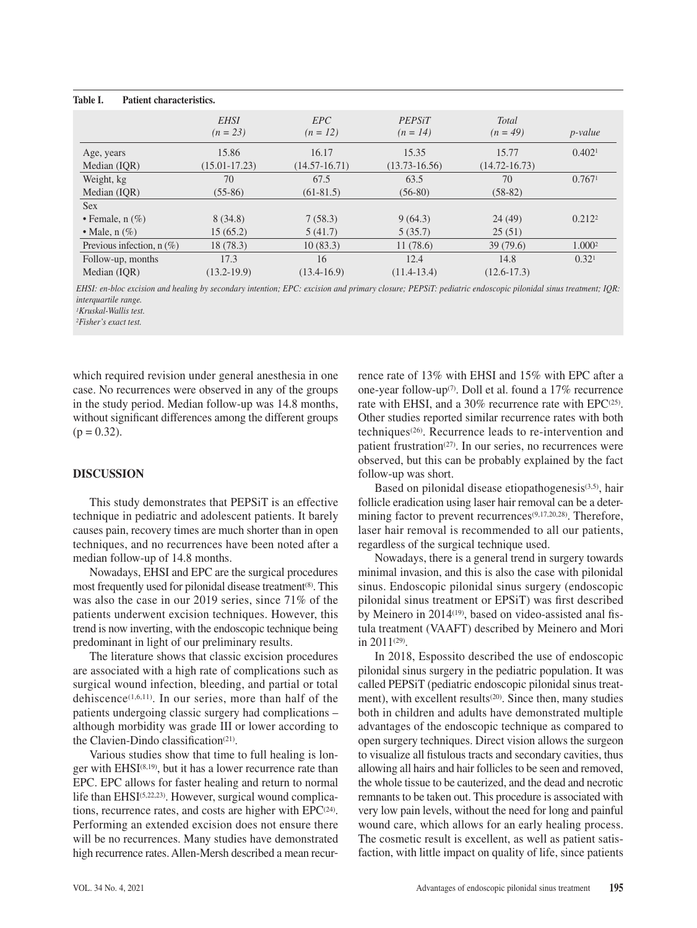#### **Table I. Patient characteristics.**

|                             | <b>EHSI</b><br>$(n = 23)$  | EPC<br>$(n = 12)$        | PEPSiT<br>$(n = 14)$       | <b>Total</b><br>$(n = 49)$ | <i>p</i> -value    |
|-----------------------------|----------------------------|--------------------------|----------------------------|----------------------------|--------------------|
| Age, years<br>Median (IQR)  | 15.86<br>$(15.01 - 17.23)$ | 16.17<br>$(14.57-16.71)$ | 15.35<br>$(13.73 - 16.56)$ | 15.77<br>$(14.72 - 16.73)$ | 0.402 <sup>1</sup> |
| Weight, kg                  | 70                         | 67.5                     | 63.5                       | 70                         | 0.7671             |
| Median (IQR)                | $(55-86)$                  | $(61-81.5)$              | $(56-80)$                  | $(58-82)$                  |                    |
| <b>Sex</b>                  |                            |                          |                            |                            |                    |
| • Female, $n(\%)$           | 8(34.8)                    | 7(58.3)                  | 9(64.3)                    | 24(49)                     | 0.212 <sup>2</sup> |
| • Male, $n(\%)$             | 15(65.2)                   | 5(41.7)                  | 5(35.7)                    | 25(51)                     |                    |
| Previous infection, $n$ (%) | 18 (78.3)                  | 10(83.3)                 | 11(78.6)                   | 39(79.6)                   | 1.000 <sup>2</sup> |
| Follow-up, months           | 17.3                       | 16                       | 12.4                       | 14.8                       | 0.32 <sup>1</sup>  |
| Median (IOR)                | $(13.2 - 19.9)$            | $(13.4 - 16.9)$          | $(11.4-13.4)$              | $(12.6 - 17.3)$            |                    |

*EHSI: en-bloc excision and healing by secondary intention; EPC: excision and primary closure; PEPSiT: pediatric endoscopic pilonidal sinus treatment; IQR: interquartile range.*

*1Kruskal-Wallis test.*

*2Fisher's exact test.*

which required revision under general anesthesia in one case. No recurrences were observed in any of the groups in the study period. Median follow-up was 14.8 months, without significant differences among the different groups  $(p = 0.32)$ .

## **DISCUSSION**

This study demonstrates that PEPSiT is an effective technique in pediatric and adolescent patients. It barely causes pain, recovery times are much shorter than in open techniques, and no recurrences have been noted after a median follow-up of 14.8 months.

Nowadays, EHSI and EPC are the surgical procedures most frequently used for pilonidal disease treatment<sup>(8)</sup>. This was also the case in our 2019 series, since 71% of the patients underwent excision techniques. However, this trend is now inverting, with the endoscopic technique being predominant in light of our preliminary results.

The literature shows that classic excision procedures are associated with a high rate of complications such as surgical wound infection, bleeding, and partial or total dehiscence(1,6,11). In our series, more than half of the patients undergoing classic surgery had complications – although morbidity was grade III or lower according to the Clavien-Dindo classification<sup>(21)</sup>.

Various studies show that time to full healing is longer with EHSI<sup>(8,19)</sup>, but it has a lower recurrence rate than EPC. EPC allows for faster healing and return to normal life than EHSI(5,22,23). However, surgical wound complications, recurrence rates, and costs are higher with  $EPC<sup>(24)</sup>$ . Performing an extended excision does not ensure there will be no recurrences. Many studies have demonstrated high recurrence rates. Allen-Mersh described a mean recurrence rate of 13% with EHSI and 15% with EPC after a one-year follow-up(7). Doll et al. found a 17% recurrence rate with EHSI, and a 30% recurrence rate with EPC<sup>(25)</sup>. Other studies reported similar recurrence rates with both techniques(26). Recurrence leads to re-intervention and patient frustration(27). In our series, no recurrences were observed, but this can be probably explained by the fact follow-up was short.

Based on pilonidal disease etiopathogenesis<sup>(3,5)</sup>, hair follicle eradication using laser hair removal can be a determining factor to prevent recurrences<sup>(9,17,20,28)</sup>. Therefore, laser hair removal is recommended to all our patients, regardless of the surgical technique used.

Nowadays, there is a general trend in surgery towards minimal invasion, and this is also the case with pilonidal sinus. Endoscopic pilonidal sinus surgery (endoscopic pilonidal sinus treatment or EPSiT) was first described by Meinero in 2014<sup>(19)</sup>, based on video-assisted anal fistula treatment (VAAFT) described by Meinero and Mori in  $2011^{(29)}$ .

In 2018, Espossito described the use of endoscopic pilonidal sinus surgery in the pediatric population. It was called PEPSiT (pediatric endoscopic pilonidal sinus treatment), with excellent results<sup>(20)</sup>. Since then, many studies both in children and adults have demonstrated multiple advantages of the endoscopic technique as compared to open surgery techniques. Direct vision allows the surgeon to visualize all fistulous tracts and secondary cavities, thus allowing all hairs and hair follicles to be seen and removed, the whole tissue to be cauterized, and the dead and necrotic remnants to be taken out. This procedure is associated with very low pain levels, without the need for long and painful wound care, which allows for an early healing process. The cosmetic result is excellent, as well as patient satisfaction, with little impact on quality of life, since patients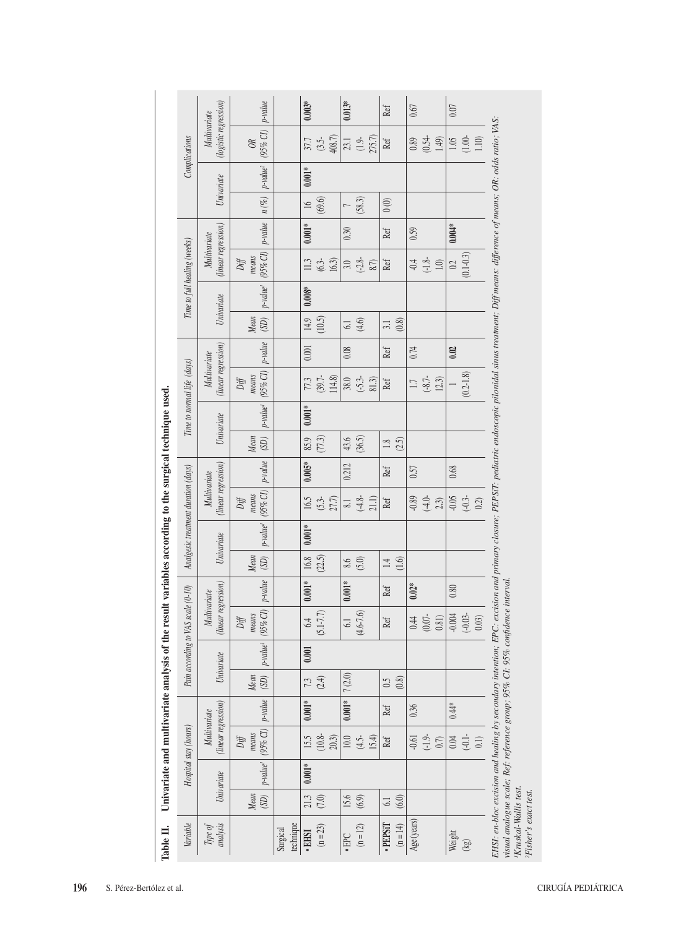|                                                                                                        | Complications                      | (logistic regression)<br>Multivariate | $p$ -value<br>$(95\%$ CI)<br>$\Im$                      |                       | $0.003*$               | 408.7)<br>37.7<br>(3.5- | $0.013*$<br>23.1         | 275.7)<br>$(1.9 -$ | $\operatorname{Ref}$  |             | $0.89$<br>$(0.54 -$ | 1.49)  |                      | $\frac{18}{1.10}$           | EHSI: en-bloc excision and healing by secondary intention; EPC: excision and primary closure; PEPSiT: pediatric endoscopic pilonidal sinus treatment; Diff means: difference of means; OR: odds ratio; VAS: |                                                                                                                    |                                   |
|--------------------------------------------------------------------------------------------------------|------------------------------------|---------------------------------------|---------------------------------------------------------|-----------------------|------------------------|-------------------------|--------------------------|--------------------|-----------------------|-------------|---------------------|--------|----------------------|-----------------------------|-------------------------------------------------------------------------------------------------------------------------------------------------------------------------------------------------------------|--------------------------------------------------------------------------------------------------------------------|-----------------------------------|
|                                                                                                        |                                    | Univariate                            | $p$ -value <sup>2</sup>                                 |                       | $0.001\ensuremath{^*}$ |                         |                          |                    |                       |             |                     |        |                      |                             |                                                                                                                                                                                                             |                                                                                                                    |                                   |
|                                                                                                        |                                    |                                       | $n\left(\mathcal{K}\right)$                             |                       | $\frac{1}{2}$          | (69.6)                  | $\overline{a}$           | (58.3)             | $0\, (0)$             |             |                     |        |                      |                             |                                                                                                                                                                                                             |                                                                                                                    |                                   |
|                                                                                                        |                                    | (linear regression)<br>Multivariate   | $p$ -value                                              |                       | $0.001\,^*$            |                         | 0.30                     |                    | Ref                   | 0.59        |                     |        | $0.004*$             |                             |                                                                                                                                                                                                             |                                                                                                                    |                                   |
|                                                                                                        | Time to full healing (weeks)       |                                       | $(95\% \text{ CI})$<br>means<br>$\mathit{Diff}$         |                       | $113\,$                | 16.3)<br>$(6.3 -$       | $3.0\,$                  | $(-2.8 -$<br>8.7)  | Ref                   | $\div$      | $(-1.8 -$           | $1.0)$ | 0.2                  | $(0.1 - 0.3)$               |                                                                                                                                                                                                             |                                                                                                                    |                                   |
|                                                                                                        |                                    |                                       | $p$ -value <sup>1</sup>                                 |                       | $0.008\%$              |                         |                          |                    |                       |             |                     |        |                      |                             |                                                                                                                                                                                                             |                                                                                                                    |                                   |
|                                                                                                        |                                    | Univariate                            | Mean<br>$\left( \text{SD} \right)$                      |                       | 14.9                   | (10.5)                  | 61                       | (4.6)              | (0.8)<br>3.1          |             |                     |        |                      |                             |                                                                                                                                                                                                             |                                                                                                                    |                                   |
|                                                                                                        |                                    |                                       | $p$ -value                                              |                       | 0.001                  |                         | 0.08                     |                    | Ref                   | 0.74        |                     |        | 0.02                 |                             |                                                                                                                                                                                                             |                                                                                                                    |                                   |
|                                                                                                        | Time to normal life (days)         | (linear regression)<br>Multivariate   | $(95\% \text{ CI})$<br>means<br>$\mathit{Diff}$         |                       | 77.3                   | 114.8)<br>$(39.7 -$     | $38.0$<br>(-5.3-         | 81.3)              | Ref                   | $\Box$      | $(-8.7 -$           | 12.3)  |                      | $(0.2 - 1.8)$               |                                                                                                                                                                                                             |                                                                                                                    |                                   |
|                                                                                                        |                                    |                                       | $p$ -value <sup>1</sup>                                 |                       | $0.001\,^*$            |                         |                          |                    |                       |             |                     |        |                      |                             |                                                                                                                                                                                                             |                                                                                                                    |                                   |
| Analgesic treatment duration (days)                                                                    |                                    | Univariate                            | Mean<br>$\left( \text{SD} \right)$                      |                       | 85.9                   | (77.3)                  |                          | $43.6$<br>$(36.5)$ | $1.8$<br>(2.5)        |             |                     |        |                      |                             |                                                                                                                                                                                                             |                                                                                                                    |                                   |
|                                                                                                        |                                    |                                       | $p$ -value                                              |                       | $0.005$                |                         | 0.212                    |                    | Ref                   | 0.57        |                     |        | $0.68\,$             |                             |                                                                                                                                                                                                             |                                                                                                                    |                                   |
|                                                                                                        |                                    | (linear regression)<br>Multivariate   | $(95\% \ CI)$<br>means<br>$\mathit{Diff}$               |                       | 16.5                   | $(5.3 -$<br>27.7)       | $\overline{\phantom{0}}$ | $(-4.8 -$<br>21.1) | Ref                   | $-0.89$     | $(-4.0 -$           | 2.3)   | $-0.05$<br>$(-0.3 -$ | $0.2)$                      |                                                                                                                                                                                                             |                                                                                                                    |                                   |
|                                                                                                        |                                    | Univariate                            | $p$ -value <sup>1</sup>                                 |                       | $0.001*$               |                         |                          |                    |                       |             |                     |        |                      |                             |                                                                                                                                                                                                             |                                                                                                                    |                                   |
|                                                                                                        |                                    |                                       | Mean<br>$\left( \text{SD} \right)$                      |                       | $16.8\,$               | (2.5)                   |                          | $6.6$<br>$(5.0)$   | $1.4$<br>(1.6)        |             |                     |        |                      |                             |                                                                                                                                                                                                             |                                                                                                                    |                                   |
|                                                                                                        |                                    |                                       |                                                         |                       | $0.001\mathrm{*}$      |                         | $0.001*$                 |                    | Ref                   | $0.02*$     |                     |        | $0.80\,$             |                             |                                                                                                                                                                                                             |                                                                                                                    |                                   |
|                                                                                                        | Pain according to VAS scale (0-10) | (linear regression)<br>Multivariate   | $(95\% \text{ CI})$ p-value<br>means<br>$\mathit{Diff}$ |                       | 6.4                    | $(5.1 - 7.7)$           | 61                       | $(4.6 - 7.6)$      | Ref                   | 0.44        | $(0.07 -$           | 0.81)  | $-0.004$             | $(-0.03 -$<br>$0.03)$       |                                                                                                                                                                                                             |                                                                                                                    |                                   |
|                                                                                                        |                                    | Univariate                            | $p$ -value <sup>l</sup>                                 |                       | 0.001                  |                         |                          |                    |                       |             |                     |        |                      |                             |                                                                                                                                                                                                             |                                                                                                                    |                                   |
| Univariate and multivariate analysis of the result variables according to the surgical technique used. |                                    |                                       | Mean<br>$\left( \text{SD} \right)$                      |                       |                        | $7.3$<br>(2.4)          | $7\,(2.0)$               |                    | (0.8)<br>6.5          |             |                     |        |                      |                             |                                                                                                                                                                                                             |                                                                                                                    |                                   |
|                                                                                                        |                                    | (linear regression)<br>Multivariate   | $p$ -value                                              |                       | $0.001\mathrm{*}$      |                         | $0.001\ensuremath{^*}$   |                    | Ref                   | 0.36        |                     |        | $0.44*$              |                             |                                                                                                                                                                                                             |                                                                                                                    |                                   |
|                                                                                                        | Hospital stay (hours)              |                                       | $(95\%$ CI)<br>means<br>$\mathit{Diff}$                 |                       | 15.5                   | $(10.8 -$<br>20.3)      | $10.0\,$                 | 15.4)<br>$(4.5 -$  | Ref                   | $-0.61$     | $(-1.9 -$           | $0.7)$ | $0.04\,$             | $(-0.1 -$<br>(1)            |                                                                                                                                                                                                             |                                                                                                                    |                                   |
|                                                                                                        |                                    | Univariate                            | $p$ -value <sup>l</sup>                                 |                       | $0.001\ensuremath{^*}$ |                         |                          |                    |                       |             |                     |        |                      |                             |                                                                                                                                                                                                             |                                                                                                                    |                                   |
| Table II.                                                                                              |                                    |                                       | Mean<br>(SD)                                            |                       | 21.3                   | (7.0)                   | 15.6                     | (6.9)              | (6.0)<br>61           |             |                     |        |                      |                             |                                                                                                                                                                                                             |                                                                                                                    |                                   |
|                                                                                                        | Variable                           | analysis<br>Type of                   |                                                         | technique<br>Surgical | ·EHSI                  | $(n = 23)$              | $\cdot$ EPC              | $(n = 12)$         | ·PEPSIT<br>$(n = 14)$ | Age (years) |                     |        | Weight               | $\left( \mathcal{G}\right)$ |                                                                                                                                                                                                             | visual analogue scale; Ref: reference group; 95% Cl: 95% confidence interval.<br><sup>1</sup> Kruskal-Wallis test. | <sup>2</sup> Fisher's exact test. |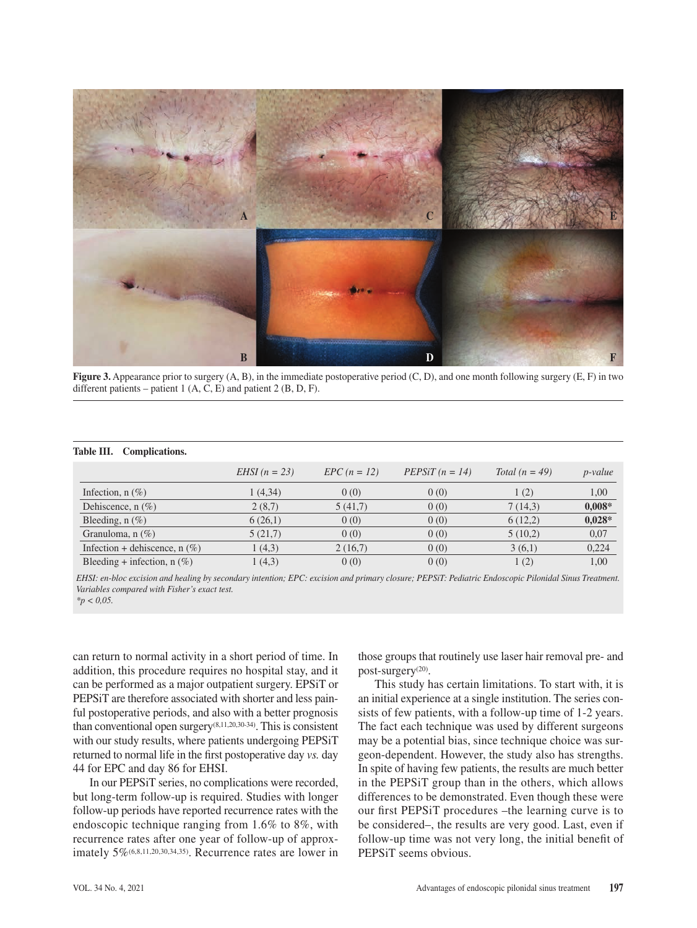

**Figure 3.** Appearance prior to surgery (A, B), in the immediate postoperative period (C, D), and one month following surgery (E, F) in two different patients – patient 1 (A, C, E) and patient 2 (B, D, F).

#### **Table III. Complications.**

|                                 | $EHSI$ (n = 23) | $EPC (n = 12)$ | $PEPSiT(n = 14)$ | Total $(n = 49)$ | $p$ -value |
|---------------------------------|-----------------|----------------|------------------|------------------|------------|
| Infection, $n$ (%)              | 1(4,34)         | 0(0)           | 0(0)             | 1(2)             | 1,00       |
| Dehiscence, $n$ (%)             | 2(8,7)          | 5(41,7)        | 0(0)             | 7(14,3)          | $0,008*$   |
| Bleeding, $n$ (%)               | 6(26,1)         | 0(0)           | 0(0)             | 6(12,2)          | $0,028*$   |
| Granuloma, $n$ (%)              | 5(21,7)         | 0(0)           | 0(0)             | 5(10,2)          | 0,07       |
| Infection + dehiscence, $n$ (%) | 1(4,3)          | 2(16,7)        | 0(0)             | 3(6,1)           | 0,224      |
| Bleeding + infection, $n$ (%)   | 1(4,3)          | 0(0)           | 0(0)             | 1(2)             | 1,00       |

*EHSI: en-bloc excision and healing by secondary intention; EPC: excision and primary closure; PEPSiT: Pediatric Endoscopic Pilonidal Sinus Treatment. Variables compared with Fisher's exact test.*

*\*p < 0,05.*

can return to normal activity in a short period of time. In addition, this procedure requires no hospital stay, and it can be performed as a major outpatient surgery. EPSiT or PEPSiT are therefore associated with shorter and less painful postoperative periods, and also with a better prognosis than conventional open surgery(8,11,20,30-34). This is consistent with our study results, where patients undergoing PEPSiT returned to normal life in the first postoperative day *vs.* day 44 for EPC and day 86 for EHSI.

In our PEPSiT series, no complications were recorded, but long-term follow-up is required. Studies with longer follow-up periods have reported recurrence rates with the endoscopic technique ranging from 1.6% to 8%, with recurrence rates after one year of follow-up of approximately 5%(6,8,11,20,30,34,35). Recurrence rates are lower in those groups that routinely use laser hair removal pre- and post-surgery(20).

This study has certain limitations. To start with, it is an initial experience at a single institution. The series consists of few patients, with a follow-up time of 1-2 years. The fact each technique was used by different surgeons may be a potential bias, since technique choice was surgeon-dependent. However, the study also has strengths. In spite of having few patients, the results are much better in the PEPSiT group than in the others, which allows differences to be demonstrated. Even though these were our first PEPSiT procedures –the learning curve is to be considered–, the results are very good. Last, even if follow-up time was not very long, the initial benefit of PEPSiT seems obvious.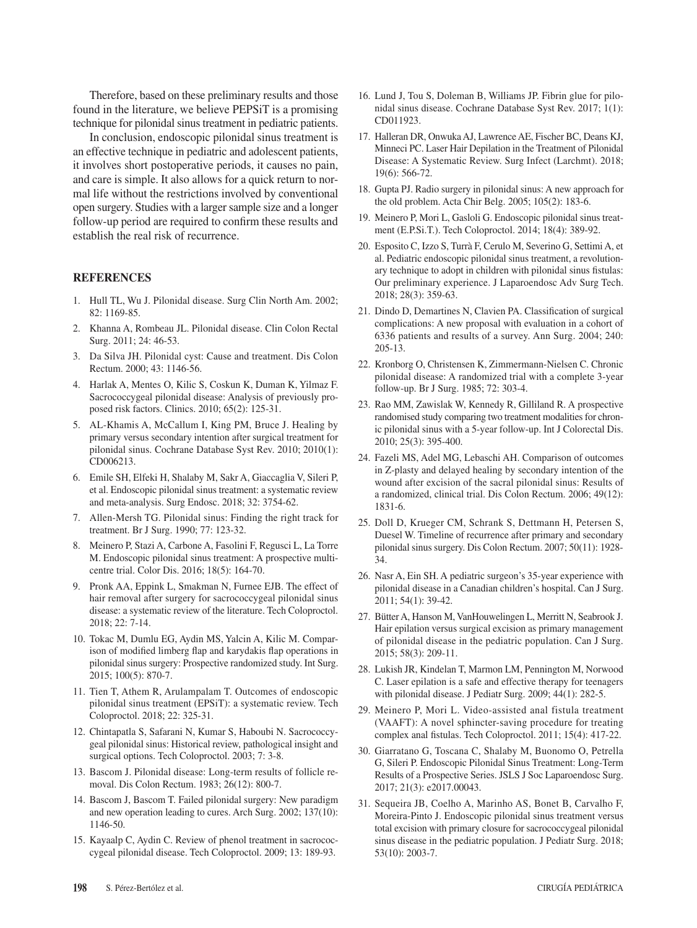Therefore, based on these preliminary results and those found in the literature, we believe PEPSiT is a promising technique for pilonidal sinus treatment in pediatric patients.

In conclusion, endoscopic pilonidal sinus treatment is an effective technique in pediatric and adolescent patients, it involves short postoperative periods, it causes no pain, and care is simple. It also allows for a quick return to normal life without the restrictions involved by conventional open surgery. Studies with a larger sample size and a longer follow-up period are required to confirm these results and establish the real risk of recurrence.

## **REFERENCES**

- 1. Hull TL, Wu J. Pilonidal disease. Surg Clin North Am. 2002; 82: 1169-85.
- 2. Khanna A, Rombeau JL. Pilonidal disease. Clin Colon Rectal Surg. 2011; 24: 46-53.
- 3. Da Silva JH. Pilonidal cyst: Cause and treatment. Dis Colon Rectum. 2000; 43: 1146-56.
- 4. Harlak A, Mentes O, Kilic S, Coskun K, Duman K, Yilmaz F. Sacrococcygeal pilonidal disease: Analysis of previously proposed risk factors. Clinics. 2010; 65(2): 125-31.
- 5. AL-Khamis A, McCallum I, King PM, Bruce J. Healing by primary versus secondary intention after surgical treatment for pilonidal sinus. Cochrane Database Syst Rev. 2010; 2010(1): CD006213.
- 6. Emile SH, Elfeki H, Shalaby M, Sakr A, Giaccaglia V, Sileri P, et al. Endoscopic pilonidal sinus treatment: a systematic review and meta-analysis. Surg Endosc. 2018; 32: 3754-62.
- 7. Allen-Mersh TG. Pilonidal sinus: Finding the right track for treatment. Br J Surg. 1990; 77: 123-32.
- 8. Meinero P, Stazi A, Carbone A, Fasolini F, Regusci L, La Torre M. Endoscopic pilonidal sinus treatment: A prospective multicentre trial. Color Dis. 2016; 18(5): 164-70.
- 9. Pronk AA, Eppink L, Smakman N, Furnee EJB. The effect of hair removal after surgery for sacrococcygeal pilonidal sinus disease: a systematic review of the literature. Tech Coloproctol. 2018; 22: 7-14.
- 10. Tokac M, Dumlu EG, Aydin MS, Yalcin A, Kilic M. Comparison of modified limberg flap and karydakis flap operations in pilonidal sinus surgery: Prospective randomized study. Int Surg. 2015; 100(5): 870-7.
- 11. Tien T, Athem R, Arulampalam T. Outcomes of endoscopic pilonidal sinus treatment (EPSiT): a systematic review. Tech Coloproctol. 2018; 22: 325-31.
- 12. Chintapatla S, Safarani N, Kumar S, Haboubi N. Sacrococcygeal pilonidal sinus: Historical review, pathological insight and surgical options. Tech Coloproctol. 2003; 7: 3-8.
- 13. Bascom J. Pilonidal disease: Long-term results of follicle removal. Dis Colon Rectum. 1983; 26(12): 800-7.
- 14. Bascom J, Bascom T. Failed pilonidal surgery: New paradigm and new operation leading to cures. Arch Surg. 2002; 137(10): 1146-50.
- 15. Kayaalp C, Aydin C. Review of phenol treatment in sacrococcygeal pilonidal disease. Tech Coloproctol. 2009; 13: 189-93.
- 16. Lund J, Tou S, Doleman B, Williams JP. Fibrin glue for pilonidal sinus disease. Cochrane Database Syst Rev. 2017; 1(1): CD011923.
- 17. Halleran DR, Onwuka AJ, Lawrence AE, Fischer BC, Deans KJ, Minneci PC. Laser Hair Depilation in the Treatment of Pilonidal Disease: A Systematic Review. Surg Infect (Larchmt). 2018; 19(6): 566-72.
- 18. Gupta PJ. Radio surgery in pilonidal sinus: A new approach for the old problem. Acta Chir Belg. 2005; 105(2): 183-6.
- 19. Meinero P, Mori L, Gasloli G. Endoscopic pilonidal sinus treatment (E.P.Si.T.). Tech Coloproctol. 2014; 18(4): 389-92.
- 20. Esposito C, Izzo S, Turrà F, Cerulo M, Severino G, Settimi A, et al. Pediatric endoscopic pilonidal sinus treatment, a revolutionary technique to adopt in children with pilonidal sinus fistulas: Our preliminary experience. J Laparoendosc Adv Surg Tech. 2018; 28(3): 359-63.
- 21. Dindo D, Demartines N, Clavien PA. Classification of surgical complications: A new proposal with evaluation in a cohort of 6336 patients and results of a survey. Ann Surg. 2004; 240: 205-13.
- 22. Kronborg O, Christensen K, Zimmermann-Nielsen C. Chronic pilonidal disease: A randomized trial with a complete 3-year follow-up. Br J Surg. 1985; 72: 303-4.
- 23. Rao MM, Zawislak W, Kennedy R, Gilliland R. A prospective randomised study comparing two treatment modalities for chronic pilonidal sinus with a 5-year follow-up. Int J Colorectal Dis. 2010; 25(3): 395-400.
- 24. Fazeli MS, Adel MG, Lebaschi AH. Comparison of outcomes in Z-plasty and delayed healing by secondary intention of the wound after excision of the sacral pilonidal sinus: Results of a randomized, clinical trial. Dis Colon Rectum. 2006; 49(12): 1831-6.
- 25. Doll D, Krueger CM, Schrank S, Dettmann H, Petersen S, Duesel W. Timeline of recurrence after primary and secondary pilonidal sinus surgery. Dis Colon Rectum. 2007; 50(11): 1928- 34.
- 26. Nasr A, Ein SH. A pediatric surgeon's 35-year experience with pilonidal disease in a Canadian children's hospital. Can J Surg. 2011; 54(1): 39-42.
- 27. Bütter A, Hanson M, VanHouwelingen L, Merritt N, Seabrook J. Hair epilation versus surgical excision as primary management of pilonidal disease in the pediatric population. Can J Surg. 2015; 58(3): 209-11.
- 28. Lukish JR, Kindelan T, Marmon LM, Pennington M, Norwood C. Laser epilation is a safe and effective therapy for teenagers with pilonidal disease. J Pediatr Surg. 2009; 44(1): 282-5.
- 29. Meinero P, Mori L. Video-assisted anal fistula treatment (VAAFT): A novel sphincter-saving procedure for treating complex anal fistulas. Tech Coloproctol. 2011; 15(4): 417-22.
- 30. Giarratano G, Toscana C, Shalaby M, Buonomo O, Petrella G, Sileri P. Endoscopic Pilonidal Sinus Treatment: Long-Term Results of a Prospective Series. JSLS J Soc Laparoendosc Surg. 2017; 21(3): e2017.00043.
- 31. Sequeira JB, Coelho A, Marinho AS, Bonet B, Carvalho F, Moreira-Pinto J. Endoscopic pilonidal sinus treatment versus total excision with primary closure for sacrococcygeal pilonidal sinus disease in the pediatric population. J Pediatr Surg. 2018; 53(10): 2003-7.